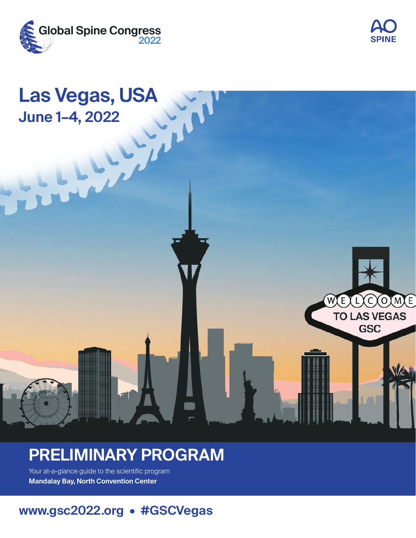





# **PRELIMINARY PROGRAM**

Your at-a-glance guide to the scientific program **Mandalay Bay, North Convention Center**

## **www.gsc2022.org • #GSCVegas**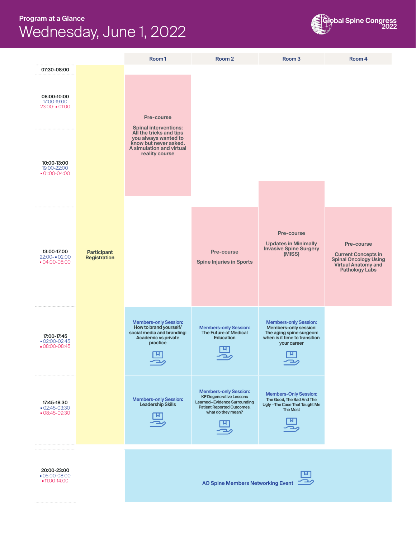#### **Program at a Glance** Wednesday, June 1, 2022





■ 05:00-08:00<br>■ 11:00-14:00

**AO Spine Members Networking Event** 

ニッ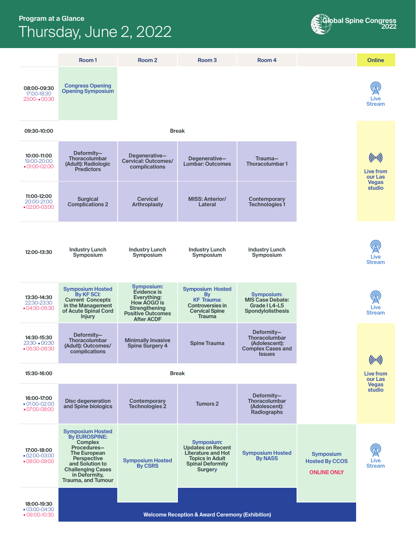#### **Program at a Glance** Thursday, June 2, 2022



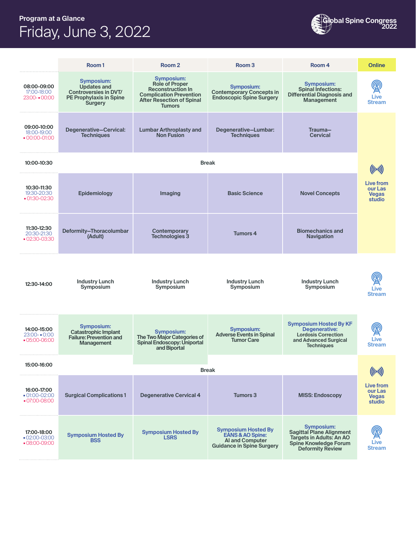### **Program at a Glance** Friday, June 3, 2022



|                                              | Room <sub>1</sub>                                                                                                    | Room <sub>2</sub>                                                                                                                                      | Room <sub>3</sub>                                                                                                       | Room 4                                                                                                                                             | <b>Online</b>                                  |  |
|----------------------------------------------|----------------------------------------------------------------------------------------------------------------------|--------------------------------------------------------------------------------------------------------------------------------------------------------|-------------------------------------------------------------------------------------------------------------------------|----------------------------------------------------------------------------------------------------------------------------------------------------|------------------------------------------------|--|
| 08:00-09:00<br>17:00-18:00<br>23:00-00:00    | Symposium:<br><b>Updates and</b><br><b>Controversies in DVT/</b><br><b>PE Prophylaxis in Spine</b><br><b>Surgery</b> | Symposium:<br><b>Role of Proper</b><br><b>Reconstruction In</b><br><b>Complication Prevention</b><br><b>After Resection of Spinal</b><br><b>Tumors</b> | <b>Symposium:</b><br><b>Contemporary Concepts in</b><br><b>Endoscopic Spine Surgery</b>                                 | Symposium:<br><b>Spinal Infections:</b><br><b>Differential Diagnosis and</b><br><b>Management</b>                                                  | Live<br><b>Stream</b>                          |  |
| 09:00-10:00<br>18:00-19:00<br>$-00:00-01:00$ | Degenerative-Cervical:<br><b>Techniques</b>                                                                          | <b>Lumbar Arthroplasty and</b><br><b>Non Fusion</b>                                                                                                    | Degenerative-Lumbar:<br><b>Techniques</b>                                                                               | Trauma-<br><b>Cervical</b>                                                                                                                         |                                                |  |
| 10:00-10:30                                  | <b>Break</b>                                                                                                         |                                                                                                                                                        |                                                                                                                         |                                                                                                                                                    |                                                |  |
| 10:30-11:30<br>19:30-20:30<br>$-01:30-02:30$ | Epidemiology                                                                                                         | Imaging                                                                                                                                                | <b>Basic Science</b>                                                                                                    | <b>Novel Concepts</b>                                                                                                                              | Live from<br>our Las<br><b>Vegas</b><br>studio |  |
| 11:30-12:30<br>20:30-21:30<br>$-02:30-03:30$ | Deformity-Thoracolumbar<br>(Adult)                                                                                   | Contemporary<br>Technologies 3                                                                                                                         | <b>Tumors 4</b>                                                                                                         | <b>Biomechanics and</b><br><b>Navigation</b>                                                                                                       |                                                |  |
| 12:30-14:00                                  | <b>Industry Lunch</b><br>Symposium                                                                                   | <b>Industry Lunch</b><br>Symposium                                                                                                                     | <b>Industry Lunch</b><br>Symposium                                                                                      | <b>Industry Lunch</b><br>Symposium                                                                                                                 | Live<br><b>Stream</b>                          |  |
| 14:00-15:00<br>$23:00 - 0:00$<br>05:00-06:00 | Symposium:<br><b>Catastrophic Implant</b><br><b>Failure: Prevention and</b><br>Management                            | <b>Symposium:</b><br>The Two Major Categories of<br><b>Spinal Endoscopy: Uniportal</b><br>and Biportal                                                 | Symposium:<br><b>Adverse Events in Spinal</b><br><b>Tumor Care</b>                                                      | <b>Symposium Hosted By KF</b><br><b>Degenerative:</b><br><b>Lordosis Correction</b><br>and Advanced Surgical<br><b>Techniques</b>                  | Live<br><b>Stream</b>                          |  |
| 15:00-16:00                                  | Break                                                                                                                |                                                                                                                                                        |                                                                                                                         |                                                                                                                                                    |                                                |  |
| 16:00-17:00<br>01:00-02:00<br>■ 07:00-08:00  | <b>Surgical Complications 1</b>                                                                                      | <b>Degenerative Cervical 4</b>                                                                                                                         | Tumors 3                                                                                                                | <b>MISS: Endoscopy</b>                                                                                                                             | Live from<br>our Las<br><b>Vegas</b><br>studio |  |
| 17:00-18:00<br>02:00-03:00<br>■ 08:00-09:00  | <b>Symposium Hosted By</b><br><b>BSS</b>                                                                             | <b>Symposium Hosted By</b><br><b>LSRS</b>                                                                                                              | <b>Symposium Hosted By</b><br><b>EANS &amp; AO Spine:</b><br><b>Al and Computer</b><br><b>Guidance in Spine Surgery</b> | <b>Symposium:</b><br><b>Sagittal Plane Alignment</b><br><b>Targets in Adults: An AO</b><br><b>Spine Knowledge Forum</b><br><b>Deformity Review</b> | Live<br><b>Stream</b>                          |  |